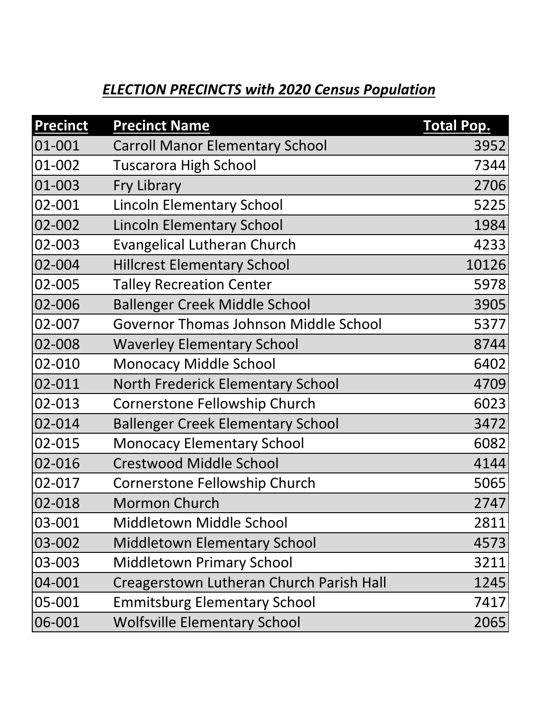## *ELECTION PRECINCTS with 2020 Census Population*

| <b>Precinct</b> | <b>Precinct Name</b>                     | <b>Total Pop.</b> |
|-----------------|------------------------------------------|-------------------|
| 01-001          | <b>Carroll Manor Elementary School</b>   | 3952              |
| 01-002          | <b>Tuscarora High School</b>             | 7344              |
| 01-003          | Fry Library                              | 2706              |
| 02-001          | <b>Lincoln Elementary School</b>         | 5225              |
| 02-002          | <b>Lincoln Elementary School</b>         | 1984              |
| 02-003          | <b>Evangelical Lutheran Church</b>       | 4233              |
| 02-004          | <b>Hillcrest Elementary School</b>       | 10126             |
| 02-005          | <b>Talley Recreation Center</b>          | 5978              |
| 02-006          | <b>Ballenger Creek Middle School</b>     | 3905              |
| 02-007          | Governor Thomas Johnson Middle School    | 5377              |
| 02-008          | <b>Waverley Elementary School</b>        | 8744              |
| 02-010          | <b>Monocacy Middle School</b>            | 6402              |
| 02-011          | <b>North Frederick Elementary School</b> | 4709              |
| 02-013          | <b>Cornerstone Fellowship Church</b>     | 6023              |
| 02-014          | <b>Ballenger Creek Elementary School</b> | 3472              |
| 02-015          | <b>Monocacy Elementary School</b>        | 6082              |
| 02-016          | <b>Crestwood Middle School</b>           | 4144              |
| 02-017          | Cornerstone Fellowship Church            | 5065              |
| 02-018          | <b>Mormon Church</b>                     | 2747              |
| 03-001          | Middletown Middle School                 | 2811              |
| 03-002          | <b>Middletown Elementary School</b>      | 4573              |
| 03-003          | <b>Middletown Primary School</b>         | 3211              |
| 04-001          | Creagerstown Lutheran Church Parish Hall | 1245              |
| 05-001          | <b>Emmitsburg Elementary School</b>      | 7417              |
| 06-001          | <b>Wolfsville Elementary School</b>      | 2065              |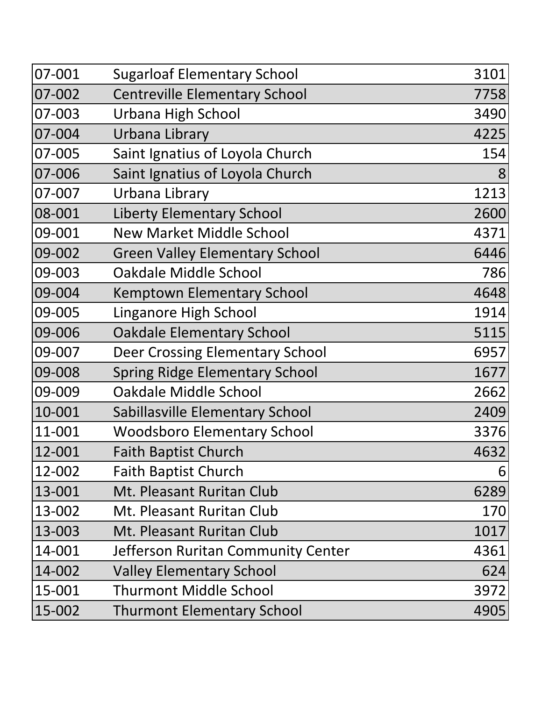| 07-001 | <b>Sugarloaf Elementary School</b>     | 3101 |
|--------|----------------------------------------|------|
| 07-002 | <b>Centreville Elementary School</b>   | 7758 |
| 07-003 | Urbana High School                     | 3490 |
| 07-004 | Urbana Library                         | 4225 |
| 07-005 | Saint Ignatius of Loyola Church        | 154  |
| 07-006 | Saint Ignatius of Loyola Church        | 8    |
| 07-007 | Urbana Library                         | 1213 |
| 08-001 | <b>Liberty Elementary School</b>       | 2600 |
| 09-001 | <b>New Market Middle School</b>        | 4371 |
| 09-002 | <b>Green Valley Elementary School</b>  | 6446 |
| 09-003 | Oakdale Middle School                  | 786  |
| 09-004 | <b>Kemptown Elementary School</b>      | 4648 |
| 09-005 | Linganore High School                  | 1914 |
| 09-006 | <b>Oakdale Elementary School</b>       | 5115 |
| 09-007 | <b>Deer Crossing Elementary School</b> | 6957 |
| 09-008 | <b>Spring Ridge Elementary School</b>  | 1677 |
| 09-009 | Oakdale Middle School                  | 2662 |
| 10-001 | Sabillasville Elementary School        | 2409 |
| 11-001 | <b>Woodsboro Elementary School</b>     | 3376 |
| 12-001 | <b>Faith Baptist Church</b>            | 4632 |
| 12-002 | <b>Faith Baptist Church</b>            | 6    |
| 13-001 | <b>Mt. Pleasant Ruritan Club</b>       | 6289 |
| 13-002 | Mt. Pleasant Ruritan Club              | 170  |
| 13-003 | Mt. Pleasant Ruritan Club              | 1017 |
| 14-001 | Jefferson Ruritan Community Center     | 4361 |
| 14-002 | <b>Valley Elementary School</b>        | 624  |
| 15-001 | <b>Thurmont Middle School</b>          | 3972 |
| 15-002 | <b>Thurmont Elementary School</b>      | 4905 |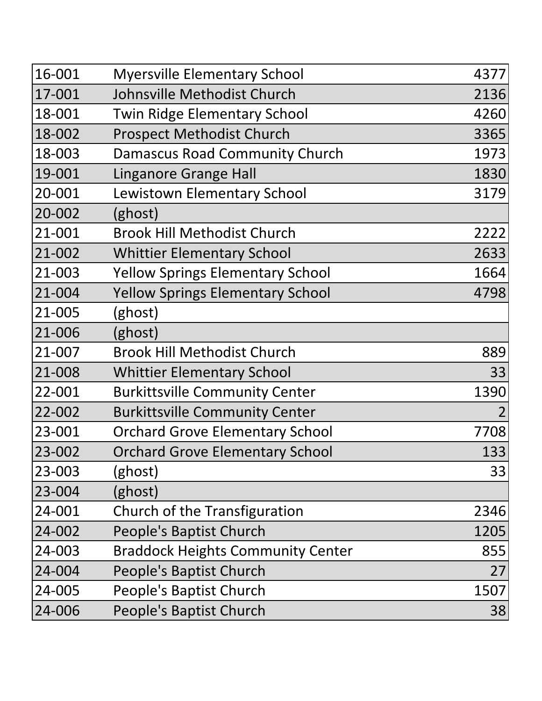| 16-001 | <b>Myersville Elementary School</b>      | 4377           |
|--------|------------------------------------------|----------------|
| 17-001 | Johnsville Methodist Church              | 2136           |
| 18-001 | <b>Twin Ridge Elementary School</b>      | 4260           |
| 18-002 | <b>Prospect Methodist Church</b>         | 3365           |
| 18-003 | Damascus Road Community Church           | 1973           |
| 19-001 | <b>Linganore Grange Hall</b>             | 1830           |
| 20-001 | Lewistown Elementary School              | 3179           |
| 20-002 | (ghost)                                  |                |
| 21-001 | <b>Brook Hill Methodist Church</b>       | 2222           |
| 21-002 | <b>Whittier Elementary School</b>        | 2633           |
| 21-003 | <b>Yellow Springs Elementary School</b>  | 1664           |
| 21-004 | <b>Yellow Springs Elementary School</b>  | 4798           |
| 21-005 | (ghost)                                  |                |
| 21-006 | (ghost)                                  |                |
| 21-007 | <b>Brook Hill Methodist Church</b>       | 889            |
| 21-008 | <b>Whittier Elementary School</b>        | 33             |
| 22-001 | <b>Burkittsville Community Center</b>    | 1390           |
| 22-002 | <b>Burkittsville Community Center</b>    | $\overline{2}$ |
| 23-001 | <b>Orchard Grove Elementary School</b>   | 7708           |
| 23-002 | <b>Orchard Grove Elementary School</b>   | 133            |
| 23-003 | (ghost)                                  | 33             |
| 23-004 | (ghost)                                  |                |
| 24-001 | Church of the Transfiguration            | 2346           |
| 24-002 | People's Baptist Church                  | 1205           |
| 24-003 | <b>Braddock Heights Community Center</b> | 855            |
| 24-004 | People's Baptist Church                  | 27             |
| 24-005 | People's Baptist Church                  | 1507           |
| 24-006 | People's Baptist Church                  | 38             |